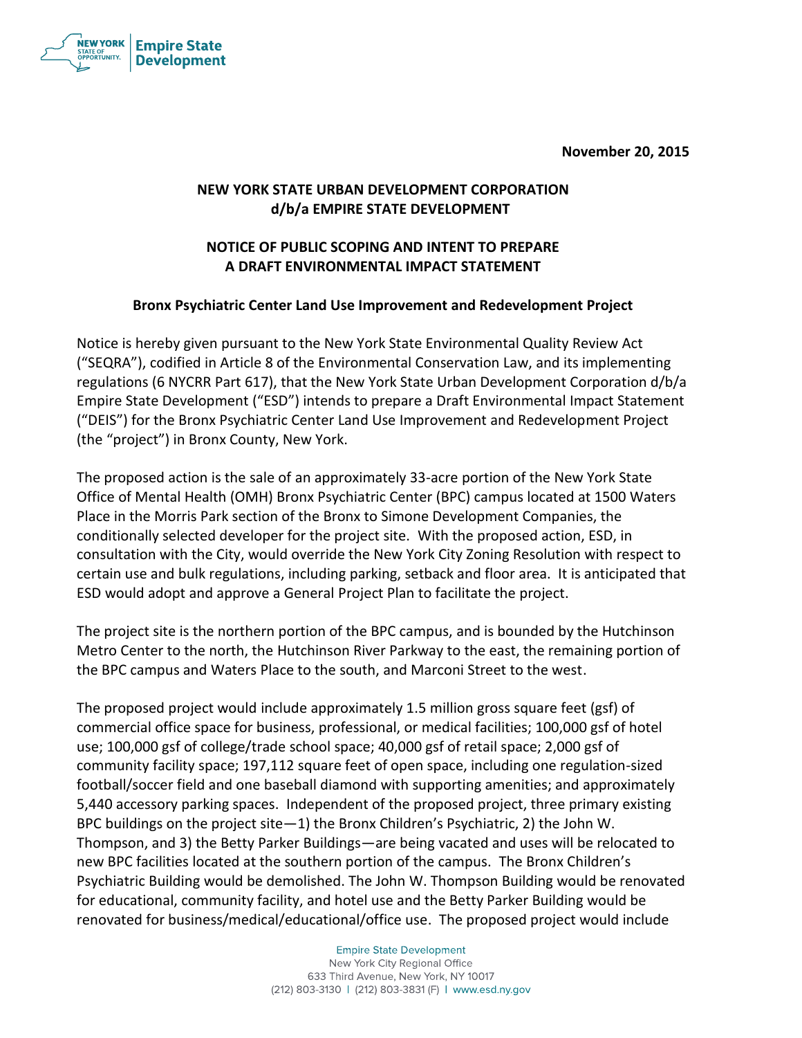**November 20, 2015**



## **NEW YORK STATE URBAN DEVELOPMENT CORPORATION d/b/a EMPIRE STATE DEVELOPMENT**

## **NOTICE OF PUBLIC SCOPING AND INTENT TO PREPARE A DRAFT ENVIRONMENTAL IMPACT STATEMENT**

## **Bronx Psychiatric Center Land Use Improvement and Redevelopment Project**

Notice is hereby given pursuant to the New York State Environmental Quality Review Act ("SEQRA"), codified in Article 8 of the Environmental Conservation Law, and its implementing regulations (6 NYCRR Part 617), that the New York State Urban Development Corporation d/b/a Empire State Development ("ESD") intends to prepare a Draft Environmental Impact Statement ("DEIS") for the Bronx Psychiatric Center Land Use Improvement and Redevelopment Project (the "project") in Bronx County, New York.

The proposed action is the sale of an approximately 33-acre portion of the New York State Office of Mental Health (OMH) Bronx Psychiatric Center (BPC) campus located at 1500 Waters Place in the Morris Park section of the Bronx to Simone Development Companies, the conditionally selected developer for the project site. With the proposed action, ESD, in consultation with the City, would override the New York City Zoning Resolution with respect to certain use and bulk regulations, including parking, setback and floor area. It is anticipated that ESD would adopt and approve a General Project Plan to facilitate the project.

The project site is the northern portion of the BPC campus, and is bounded by the Hutchinson Metro Center to the north, the Hutchinson River Parkway to the east, the remaining portion of the BPC campus and Waters Place to the south, and Marconi Street to the west.

The proposed project would include approximately 1.5 million gross square feet (gsf) of commercial office space for business, professional, or medical facilities; 100,000 gsf of hotel use; 100,000 gsf of college/trade school space; 40,000 gsf of retail space; 2,000 gsf of community facility space; 197,112 square feet of open space, including one regulation-sized football/soccer field and one baseball diamond with supporting amenities; and approximately 5,440 accessory parking spaces. Independent of the proposed project, three primary existing BPC buildings on the project site—1) the Bronx Children's Psychiatric, 2) the John W. Thompson, and 3) the Betty Parker Buildings—are being vacated and uses will be relocated to new BPC facilities located at the southern portion of the campus. The Bronx Children's Psychiatric Building would be demolished. The John W. Thompson Building would be renovated for educational, community facility, and hotel use and the Betty Parker Building would be renovated for business/medical/educational/office use. The proposed project would include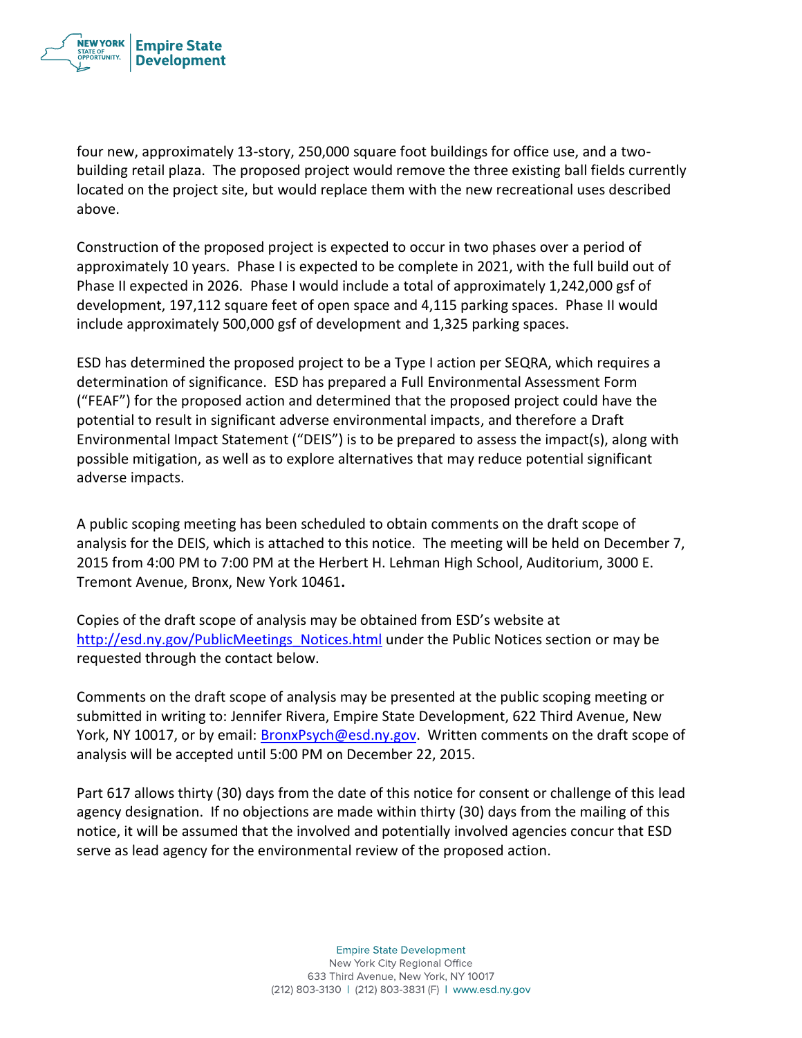

four new, approximately 13-story, 250,000 square foot buildings for office use, and a twobuilding retail plaza. The proposed project would remove the three existing ball fields currently located on the project site, but would replace them with the new recreational uses described above.

Construction of the proposed project is expected to occur in two phases over a period of approximately 10 years. Phase I is expected to be complete in 2021, with the full build out of Phase II expected in 2026. Phase I would include a total of approximately 1,242,000 gsf of development, 197,112 square feet of open space and 4,115 parking spaces. Phase II would include approximately 500,000 gsf of development and 1,325 parking spaces.

ESD has determined the proposed project to be a Type I action per SEQRA, which requires a determination of significance. ESD has prepared a Full Environmental Assessment Form ("FEAF") for the proposed action and determined that the proposed project could have the potential to result in significant adverse environmental impacts, and therefore a Draft Environmental Impact Statement ("DEIS") is to be prepared to assess the impact(s), along with possible mitigation, as well as to explore alternatives that may reduce potential significant adverse impacts.

A public scoping meeting has been scheduled to obtain comments on the draft scope of analysis for the DEIS, which is attached to this notice. The meeting will be held on December 7, 2015 from 4:00 PM to 7:00 PM at the Herbert H. Lehman High School, Auditorium, 3000 E. Tremont Avenue, Bronx, New York 10461**.** 

Copies of the draft scope of analysis may be obtained from ESD's website at [http://esd.ny.gov/PublicMeetings\\_Notices.html](http://esd.ny.gov/PublicMeetings_Notices.html) under the Public Notices section or may be requested through the contact below.

Comments on the draft scope of analysis may be presented at the public scoping meeting or submitted in writing to: Jennifer Rivera, Empire State Development, 622 Third Avenue, New York, NY 10017, or by email: [BronxPsych@esd.ny.gov.](mailto:BronxPsych@esd.ny.gov) Written comments on the draft scope of analysis will be accepted until 5:00 PM on December 22, 2015.

Part 617 allows thirty (30) days from the date of this notice for consent or challenge of this lead agency designation. If no objections are made within thirty (30) days from the mailing of this notice, it will be assumed that the involved and potentially involved agencies concur that ESD serve as lead agency for the environmental review of the proposed action.